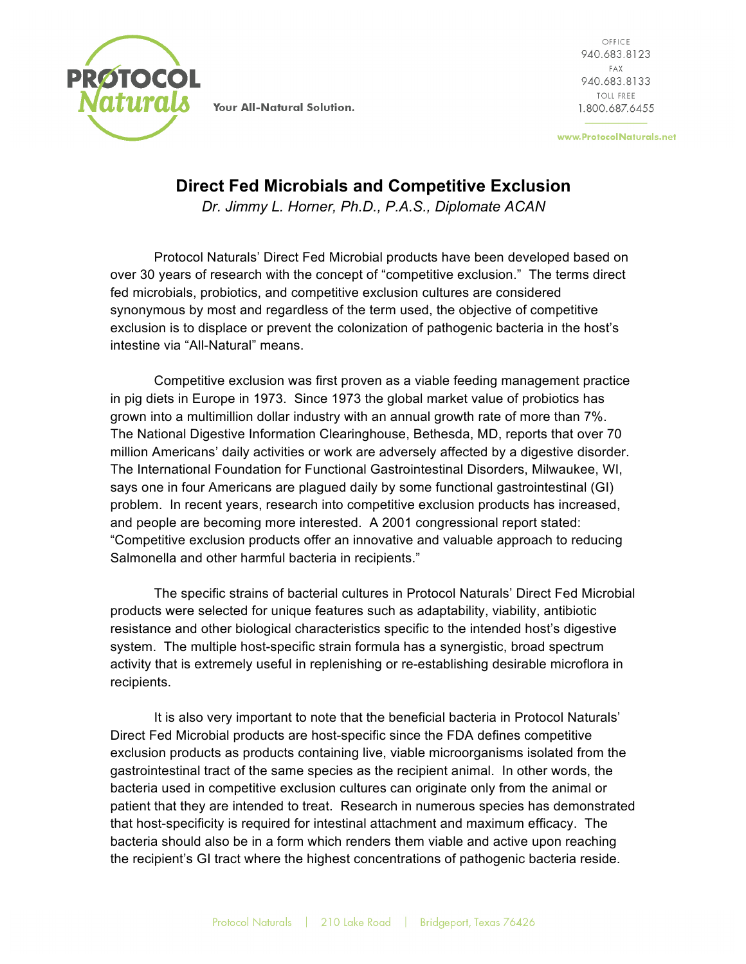

OFFICE 940.683.8123 FAX 940.683.8133 TOLL FREE 1.800.687.6455

www.ProtocolNaturals.net

## **Direct Fed Microbials and Competitive Exclusion**

*Dr. Jimmy L. Horner, Ph.D., P.A.S., Diplomate ACAN*

Protocol Naturals' Direct Fed Microbial products have been developed based on over 30 years of research with the concept of "competitive exclusion." The terms direct fed microbials, probiotics, and competitive exclusion cultures are considered synonymous by most and regardless of the term used, the objective of competitive exclusion is to displace or prevent the colonization of pathogenic bacteria in the host's intestine via "All-Natural" means.

Competitive exclusion was first proven as a viable feeding management practice in pig diets in Europe in 1973. Since 1973 the global market value of probiotics has grown into a multimillion dollar industry with an annual growth rate of more than 7%. The National Digestive Information Clearinghouse, Bethesda, MD, reports that over 70 million Americans' daily activities or work are adversely affected by a digestive disorder. The International Foundation for Functional Gastrointestinal Disorders, Milwaukee, WI, says one in four Americans are plagued daily by some functional gastrointestinal (GI) problem. In recent years, research into competitive exclusion products has increased, and people are becoming more interested. A 2001 congressional report stated: "Competitive exclusion products offer an innovative and valuable approach to reducing Salmonella and other harmful bacteria in recipients."

The specific strains of bacterial cultures in Protocol Naturals' Direct Fed Microbial products were selected for unique features such as adaptability, viability, antibiotic resistance and other biological characteristics specific to the intended host's digestive system. The multiple host-specific strain formula has a synergistic, broad spectrum activity that is extremely useful in replenishing or re-establishing desirable microflora in recipients.

It is also very important to note that the beneficial bacteria in Protocol Naturals' Direct Fed Microbial products are host-specific since the FDA defines competitive exclusion products as products containing live, viable microorganisms isolated from the gastrointestinal tract of the same species as the recipient animal. In other words, the bacteria used in competitive exclusion cultures can originate only from the animal or patient that they are intended to treat. Research in numerous species has demonstrated that host-specificity is required for intestinal attachment and maximum efficacy. The bacteria should also be in a form which renders them viable and active upon reaching the recipient's GI tract where the highest concentrations of pathogenic bacteria reside.